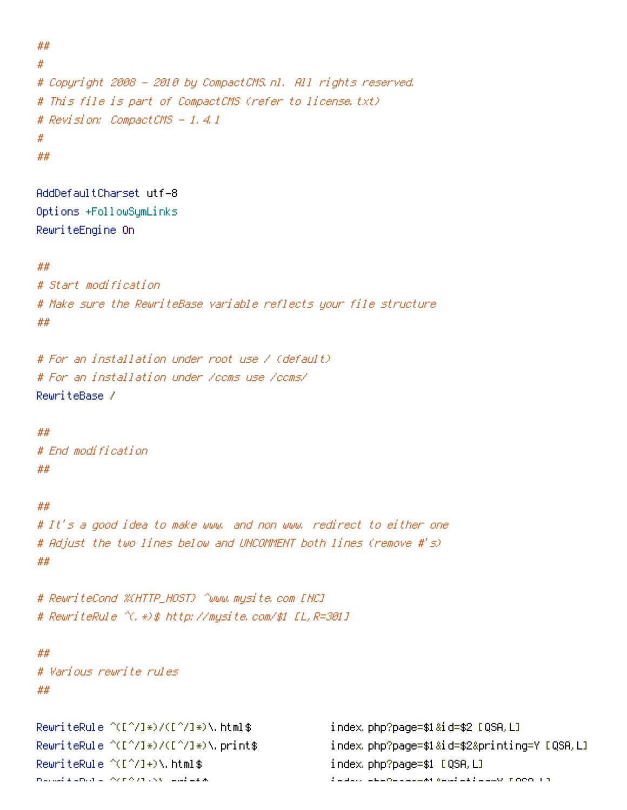```
#
# Copyright 2008 - 2010 by CompactCMS.nl. All rights reserved.
# This file is part of CompactCMS (refer to license.txt)
# Revision: CompactCMS - 1.4.1
#
##
```
AddDefaultCharset utf-8 Options +FollowSymLinks RewriteEngine On

#### ##

##

```
# Start modification
# Make sure the RewriteBase variable reflects your file structure
##
```

```
# For an installation under root use / (default)
# For an installation under /ccms use /ccms/
RewriteBase /
```
#### ##

# End modification ##

### ##

```
# It's a good idea to make www. and non www. redirect to either one
# Adjust the two lines below and UNCOMMENT both lines (remove #'s)
##
```
# RewriteCond %{HTTP\_HOST} ^www.mysite.com [NC] # RewriteRule ^(.\*)\$ http://mysite.com/\$1 [L,R=301]

#### ##

```
# Various rewrite rules
##
```
RewriteRule ^([^/]\*)/([^/]\*)\.html\$ index.php?page=\$1&id=\$2 [QSA,L] RewriteRule ^([^/]+)\.html\$ index.php?page=\$1 [QSA,L] RewriteRule ^(F^)+)\.printing=X [QSA,

RewriteRule ^([^/]\*)/([^/]\*)\.print\$ index.php?page=\$1&id=\$2&printing=Y [QSA,L]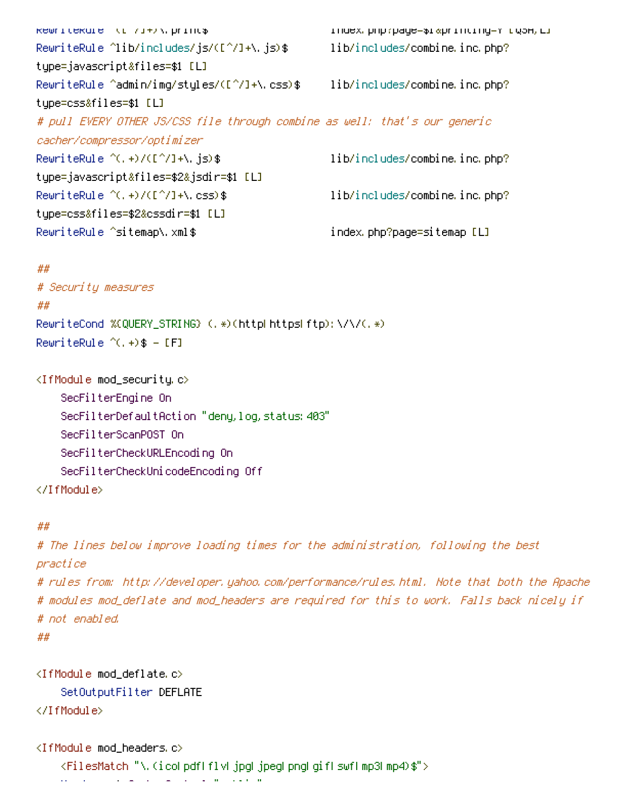RewriteRule ^([^/]+)\.print\$ index.php?page=\$1&printing=Y [QSA,L] RewriteRule ^lib/includes/js/([^/]+\.js)\$ lib/includes/combine.inc.php? type=javascript&files=\$1 [L] RewriteRule ^admin/img/styles/([^/]+\.css)\$ lib/includes/combine.inc.php? type=css&files=\$1 [L] # pull EVERY OTHER JS/CSS file through combine as well: that's our generic cacher/compressor/optimizer RewriteRule ^(,+)/([^/]+\.js)\$ lib/includes/combine.inc.php? type=javascript&files=\$2&jsdir=\$1 [L] RewriteRule  $\hat{C}$ . +)/([ $\hat{C}$ ]+\.css)\$ lib/includes/combine.inc.php? type=css&files=\$2&cssdir=\$1 [L] RewriteRule ^sitemap\.xml\$ index.php?page=sitemap [L]

# ## # Security measures ## RewriteCond %{QUERY\_STRING} (.\*)(http|https|ftp):\/\/(.\*)  ${\sf RewriteRule}~^\sim(.,+)$ \$ - [F]

<IfModule mod\_security.c> SecFilterEngine On SecFilterDefaultAction "deny, log, status: 403" SecFilterScanPOST On SecFilterCheckURLEncoding On SecFilterCheckUnicodeEncoding Off </IfModule>

## ##

# The lines below improve loading times for the administration, following the best practice

# rules from: http://developer.yahoo.com/performance/rules.html. Note that both the Apache # modules mod\_deflate and mod\_headers are required for this to work. Falls back nicely if # not enabled.

```
##
```

```
<IfModule mod_deflate.c>
    SetOutputFilter DEFLATE
</IfModule>
```
<IfModule mod\_headers.c>

Header set Cache-Control "public"

<FilesMatch "\.(ico|pdf|flv|jpg|jpeg|png|gif|swf|mp3|mp4)\$">